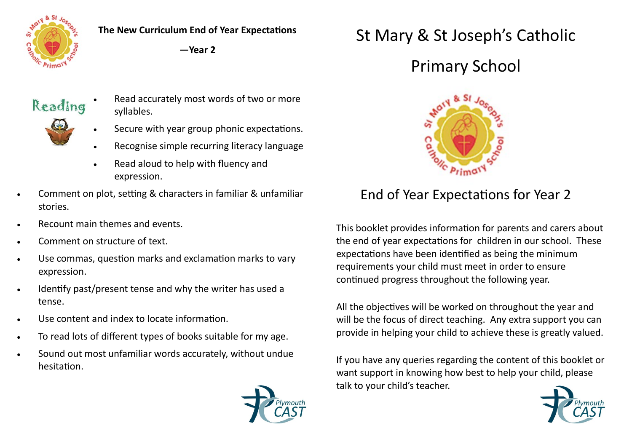

**The New Curriculum End of Year Expectations**

**—Year 2**



- Read accurately most words of two or more syllables.
- 
- Secure with year group phonic expectations.
- Recognise simple recurring literacy language
- Read aloud to help with fluency and expression.
- Comment on plot, setting & characters in familiar & unfamiliar stories.
- Recount main themes and events.
- Comment on structure of text.
- Use commas, question marks and exclamation marks to vary expression.
- Identify past/present tense and why the writer has used a tense.
- Use content and index to locate information.
- To read lots of different types of books suitable for my age.
- Sound out most unfamiliar words accurately, without undue hesitation.



## St Mary & St Joseph's Catholic

## Primary School



## End of Year Expectations for Year 2

This booklet provides information for parents and carers about the end of year expectations for children in our school. These expectations have been identified as being the minimum requirements your child must meet in order to ensure continued progress throughout the following year.

All the objectives will be worked on throughout the year and will be the focus of direct teaching. Any extra support you can provide in helping your child to achieve these is greatly valued.

If you have any queries regarding the content of this booklet or want support in knowing how best to help your child, please talk to your child's teacher.